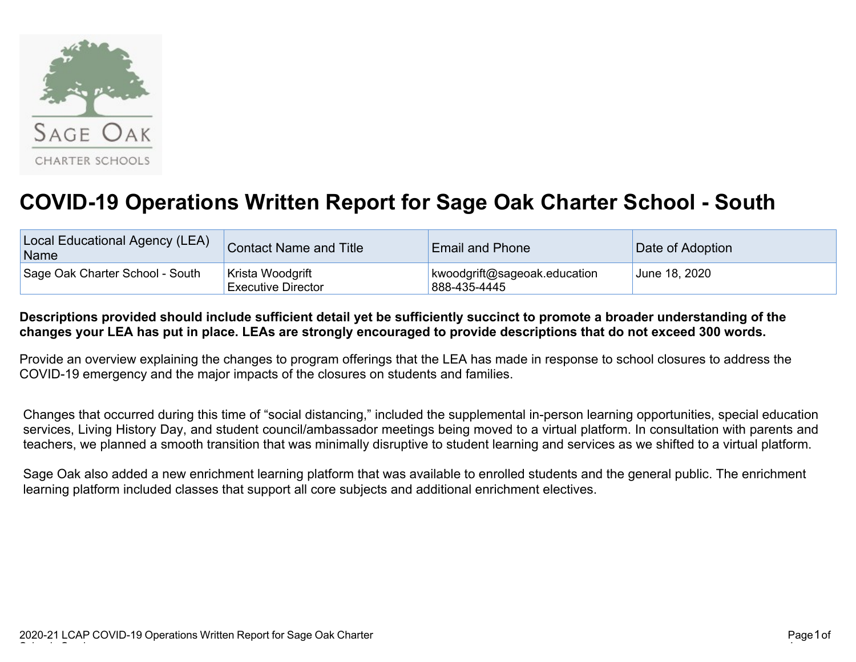

## **COVID-19 Operations Written Report for Sage Oak Charter School - South**

| Local Educational Agency (LEA)<br>Name | Contact Name and Title                        | <b>Email and Phone</b>                       | Date of Adoption |  |
|----------------------------------------|-----------------------------------------------|----------------------------------------------|------------------|--|
| Sage Oak Charter School - South        | Krista Woodgrift<br><b>Executive Director</b> | kwoodgrift@sageoak.education<br>888-435-4445 | June 18, 2020    |  |

## **Descriptions provided should include sufficient detail yet be sufficiently succinct to promote a broader understanding of the changes your LEA has put in place. LEAs are strongly encouraged to provide descriptions that do not exceed 300 words.**

Provide an overview explaining the changes to program offerings that the LEA has made in response to school closures to address the COVID-19 emergency and the major impacts of the closures on students and families.

Changes that occurred during this time of "social distancing," included the supplemental in-person learning opportunities, special education services, Living History Day, and student council/ambassador meetings being moved to a virtual platform. In consultation with parents and teachers, we planned a smooth transition that was minimally disruptive to student learning and services as we shifted to a virtual platform.

Sage Oak also added a new enrichment learning platform that was available to enrolled students and the general public. The enrichment learning platform included classes that support all core subjects and additional enrichment electives.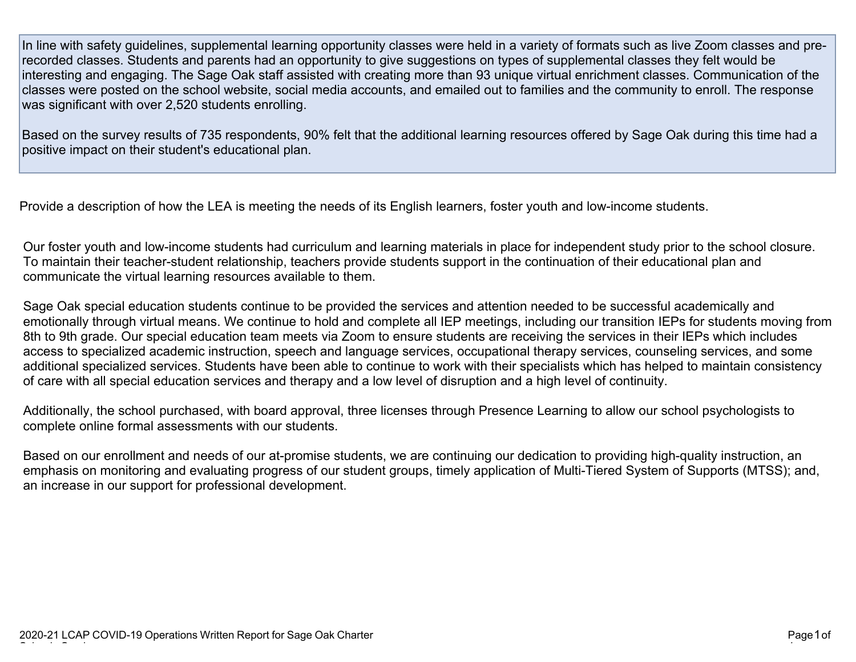In line with safety guidelines, supplemental learning opportunity classes were held in a variety of formats such as live Zoom classes and prerecorded classes. Students and parents had an opportunity to give suggestions on types of supplemental classes they felt would be interesting and engaging. The Sage Oak staff assisted with creating more than 93 unique virtual enrichment classes. Communication of the classes were posted on the school website, social media accounts, and emailed out to families and the community to enroll. The response was significant with over 2,520 students enrolling.

Based on the survey results of 735 respondents, 90% felt that the additional learning resources offered by Sage Oak during this time had a positive impact on their student's educational plan.

Provide a description of how the LEA is meeting the needs of its English learners, foster youth and low-income students.

Our foster youth and low-income students had curriculum and learning materials in place for independent study prior to the school closure. To maintain their teacher-student relationship, teachers provide students support in the continuation of their educational plan and communicate the virtual learning resources available to them.

Sage Oak special education students continue to be provided the services and attention needed to be successful academically and emotionally through virtual means. We continue to hold and complete all IEP meetings, including our transition IEPs for students moving from 8th to 9th grade. Our special education team meets via Zoom to ensure students are receiving the services in their IEPs which includes access to specialized academic instruction, speech and language services, occupational therapy services, counseling services, and some additional specialized services. Students have been able to continue to work with their specialists which has helped to maintain consistency of care with all special education services and therapy and a low level of disruption and a high level of continuity.

Additionally, the school purchased, with board approval, three licenses through Presence Learning to allow our school psychologists to complete online formal assessments with our students.

Based on our enrollment and needs of our at-promise students, we are continuing our dedication to providing high-quality instruction, an emphasis on monitoring and evaluating progress of our student groups, timely application of Multi-Tiered System of Supports (MTSS); and, an increase in our support for professional development.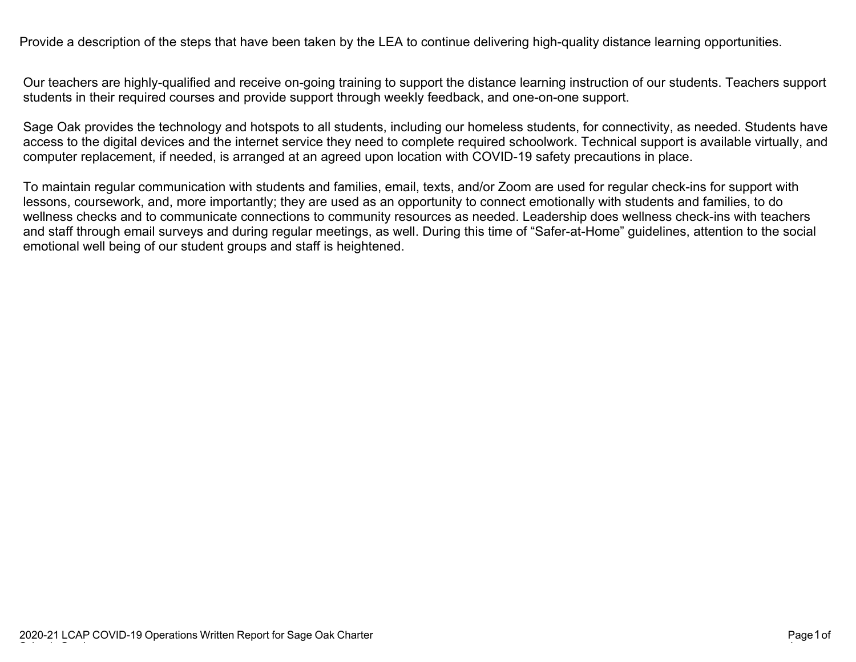Provide a description of the steps that have been taken by the LEA to continue delivering high-quality distance learning opportunities.

Our teachers are highly-qualified and receive on-going training to support the distance learning instruction of our students. Teachers support students in their required courses and provide support through weekly feedback, and one-on-one support.

Sage Oak provides the technology and hotspots to all students, including our homeless students, for connectivity, as needed. Students have access to the digital devices and the internet service they need to complete required schoolwork. Technical support is available virtually, and computer replacement, if needed, is arranged at an agreed upon location with COVID-19 safety precautions in place.

To maintain regular communication with students and families, email, texts, and/or Zoom are used for regular check-ins for support with lessons, coursework, and, more importantly; they are used as an opportunity to connect emotionally with students and families, to do wellness checks and to communicate connections to community resources as needed. Leadership does wellness check-ins with teachers and staff through email surveys and during regular meetings, as well. During this time of "Safer-at-Home" guidelines, attention to the social emotional well being of our student groups and staff is heightened.